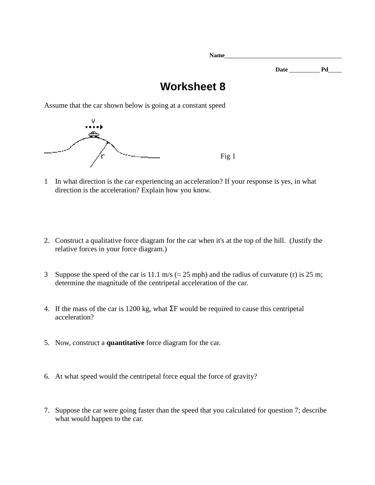**Name Date Pd** 

## **Worksheet 8**

Assume that the car shown below is going at a constant speed



- 1 In what direction is the car experiencing an acceleration? If your response is yes, in what direction is the acceleration? Explain how you know.
- 2. Construct a qualitative force diagram for the car when it's at the top of the hill. (Justify the relative forces in your force diagram.)
- 3 Suppose the speed of the car is 11.1 m/s ( $\approx$  25 mph) and the radius of curvature (r) is 25 m; determine the magnitude of the centripetal acceleration of the car.
- 4. If the mass of the car is 1200 kg, what ΣF would be required to cause this centripetal acceleration?
- 5. Now, construct a **quantitative** force diagram for the car.
- 6. At what speed would the centripetal force equal the force of gravity?
- 7. Suppose the car were going faster than the speed that you calculated for question 7; describe what would happen to the car.